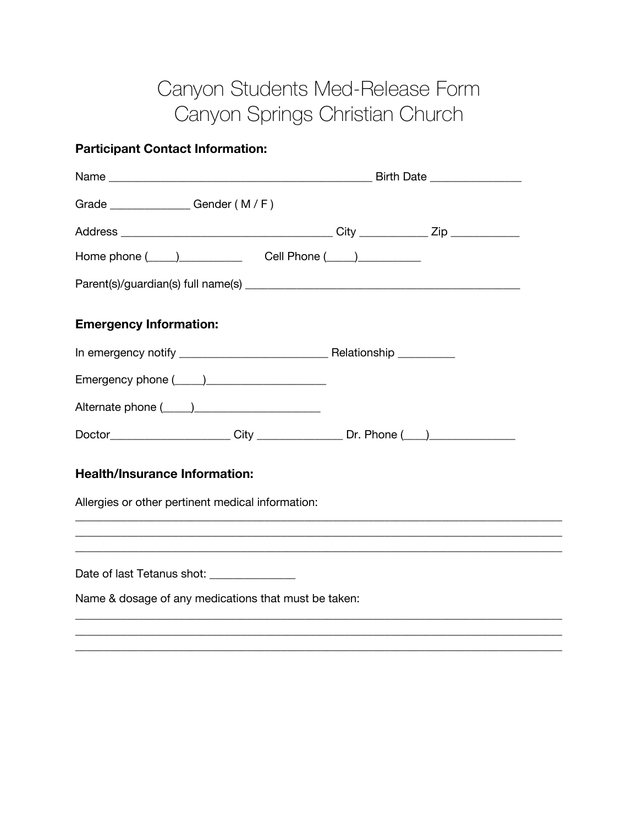## Canyon Students Med-Release Form Canyon Springs Christian Church

## **Participant Contact Information:**

| Grade _______________Gender (M/F)                                                                                                                                                                                              |                                                                                   |  |  |
|--------------------------------------------------------------------------------------------------------------------------------------------------------------------------------------------------------------------------------|-----------------------------------------------------------------------------------|--|--|
|                                                                                                                                                                                                                                |                                                                                   |  |  |
| Home phone ( ) Cell Phone ( ) ) Community Contains the Community Contains the Community Contains the Community Community Community Community Community Community Community Community Community Community Community Community C |                                                                                   |  |  |
|                                                                                                                                                                                                                                |                                                                                   |  |  |
| <b>Emergency Information:</b>                                                                                                                                                                                                  |                                                                                   |  |  |
|                                                                                                                                                                                                                                |                                                                                   |  |  |
|                                                                                                                                                                                                                                |                                                                                   |  |  |
|                                                                                                                                                                                                                                |                                                                                   |  |  |
| Doctor_______________________City _________________Dr. Phone (___) _____________                                                                                                                                               |                                                                                   |  |  |
| <b>Health/Insurance Information:</b>                                                                                                                                                                                           |                                                                                   |  |  |
| Allergies or other pertinent medical information:                                                                                                                                                                              | ,我们也不能在这里的人,我们也不能在这里的人,我们也不能在这里的人,我们也不能在这里的人,我们也不能在这里的人,我们也不能在这里的人,我们也不能在这里的人,我们也 |  |  |
| ,我们也不能在这里的人,我们也不能在这里的人,我们也不能在这里的人,我们也不能在这里的人,我们也不能在这里的人,我们也不能在这里的人,我们也不能在这里的人,我们也                                                                                                                                              |                                                                                   |  |  |
| Date of last Tetanus shot: _________________                                                                                                                                                                                   |                                                                                   |  |  |
| Name & dosage of any medications that must be taken:                                                                                                                                                                           |                                                                                   |  |  |
|                                                                                                                                                                                                                                |                                                                                   |  |  |

\_\_\_\_\_\_\_\_\_\_\_\_\_\_\_\_\_\_\_\_\_\_\_\_\_\_\_\_\_\_\_\_\_\_\_\_\_\_\_\_\_\_\_\_\_\_\_\_\_\_\_\_\_\_\_\_\_\_\_\_\_\_\_\_\_\_\_\_\_\_\_\_\_\_\_\_\_\_\_\_\_\_\_\_\_